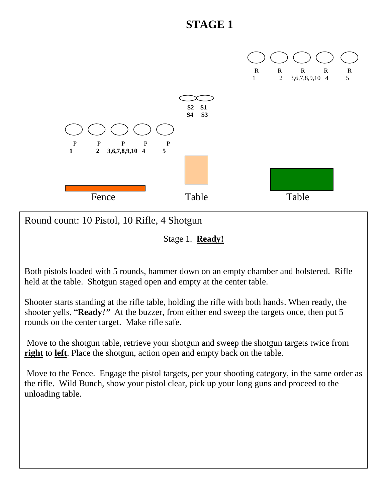

Round count: 10 Pistol, 10 Rifle, 4 Shotgun

Stage 1. **Ready!**

Both pistols loaded with 5 rounds, hammer down on an empty chamber and holstered. Rifle held at the table. Shotgun staged open and empty at the center table.

Shooter starts standing at the rifle table, holding the rifle with both hands. When ready, the shooter yells, "**Ready***!"* At the buzzer, from either end sweep the targets once, then put 5 rounds on the center target. Make rifle safe.

Move to the shotgun table, retrieve your shotgun and sweep the shotgun targets twice from **right** to **left**. Place the shotgun, action open and empty back on the table.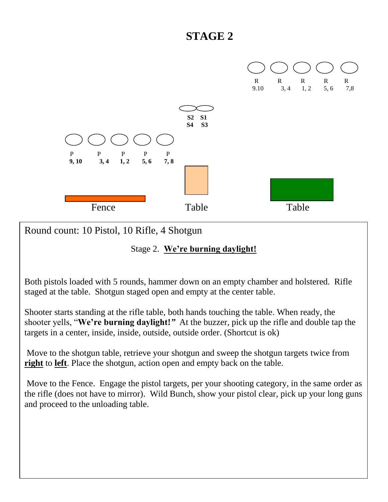

Round count: 10 Pistol, 10 Rifle, 4 Shotgun

#### Stage 2. **We're burning daylight!**

Both pistols loaded with 5 rounds, hammer down on an empty chamber and holstered. Rifle staged at the table. Shotgun staged open and empty at the center table.

Shooter starts standing at the rifle table, both hands touching the table. When ready, the shooter yells, "**We're burning daylight!***"* At the buzzer, pick up the rifle and double tap the targets in a center, inside, inside, outside, outside order. (Shortcut is ok)

Move to the shotgun table, retrieve your shotgun and sweep the shotgun targets twice from **right** to **left**. Place the shotgun, action open and empty back on the table.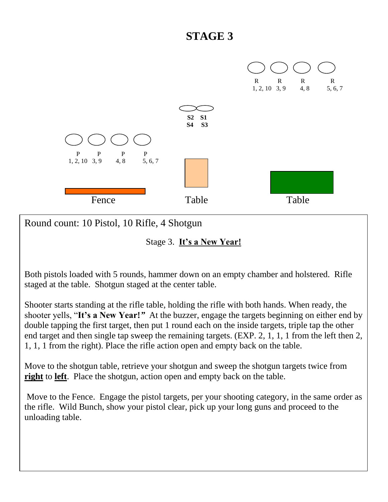

Round count: 10 Pistol, 10 Rifle, 4 Shotgun

Stage 3. **It's a New Year!**

Both pistols loaded with 5 rounds, hammer down on an empty chamber and holstered. Rifle staged at the table. Shotgun staged at the center table.

Shooter starts standing at the rifle table, holding the rifle with both hands. When ready, the shooter yells, "**It's a New Year!***"* At the buzzer, engage the targets beginning on either end by double tapping the first target, then put 1 round each on the inside targets, triple tap the other end target and then single tap sweep the remaining targets. (EXP. 2, 1, 1, 1 from the left then 2, 1, 1, 1 from the right). Place the rifle action open and empty back on the table.

Move to the shotgun table, retrieve your shotgun and sweep the shotgun targets twice from **right** to **left**. Place the shotgun, action open and empty back on the table.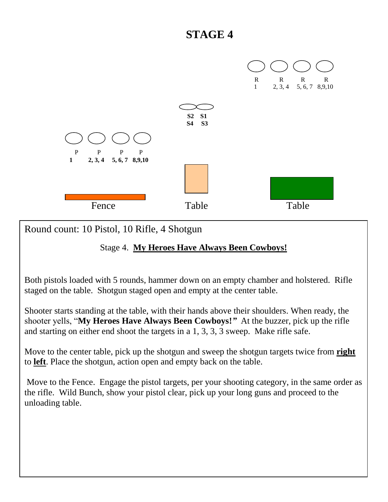

Round count: 10 Pistol, 10 Rifle, 4 Shotgun

#### Stage 4. **My Heroes Have Always Been Cowboys!**

Both pistols loaded with 5 rounds, hammer down on an empty chamber and holstered. Rifle staged on the table. Shotgun staged open and empty at the center table.

Shooter starts standing at the table, with their hands above their shoulders. When ready, the shooter yells, "**My Heroes Have Always Been Cowboys!***"* At the buzzer, pick up the rifle and starting on either end shoot the targets in a 1, 3, 3, 3 sweep. Make rifle safe.

Move to the center table, pick up the shotgun and sweep the shotgun targets twice from **right** to **left**. Place the shotgun, action open and empty back on the table.